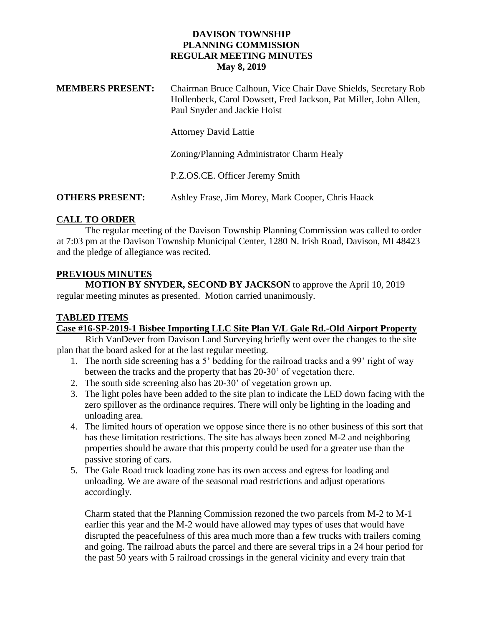| <b>MEMBERS PRESENT:</b> | Chairman Bruce Calhoun, Vice Chair Dave Shields, Secretary Rob   |
|-------------------------|------------------------------------------------------------------|
|                         | Hollenbeck, Carol Dowsett, Fred Jackson, Pat Miller, John Allen, |
|                         | Paul Snyder and Jackie Hoist                                     |

Attorney David Lattie

Zoning/Planning Administrator Charm Healy

P.Z.OS.CE. Officer Jeremy Smith

**OTHERS PRESENT:** Ashley Frase, Jim Morey, Mark Cooper, Chris Haack

# **CALL TO ORDER**

The regular meeting of the Davison Township Planning Commission was called to order at 7:03 pm at the Davison Township Municipal Center, 1280 N. Irish Road, Davison, MI 48423 and the pledge of allegiance was recited.

# **PREVIOUS MINUTES**

**MOTION BY SNYDER, SECOND BY JACKSON** to approve the April 10, 2019 regular meeting minutes as presented. Motion carried unanimously.

# **TABLED ITEMS**

# **Case #16-SP-2019-1 Bisbee Importing LLC Site Plan V/L Gale Rd.-Old Airport Property**

Rich VanDever from Davison Land Surveying briefly went over the changes to the site plan that the board asked for at the last regular meeting.

- 1. The north side screening has a 5' bedding for the railroad tracks and a 99' right of way between the tracks and the property that has 20-30' of vegetation there.
- 2. The south side screening also has 20-30' of vegetation grown up.
- 3. The light poles have been added to the site plan to indicate the LED down facing with the zero spillover as the ordinance requires. There will only be lighting in the loading and unloading area.
- 4. The limited hours of operation we oppose since there is no other business of this sort that has these limitation restrictions. The site has always been zoned M-2 and neighboring properties should be aware that this property could be used for a greater use than the passive storing of cars.
- 5. The Gale Road truck loading zone has its own access and egress for loading and unloading. We are aware of the seasonal road restrictions and adjust operations accordingly.

Charm stated that the Planning Commission rezoned the two parcels from M-2 to M-1 earlier this year and the M-2 would have allowed may types of uses that would have disrupted the peacefulness of this area much more than a few trucks with trailers coming and going. The railroad abuts the parcel and there are several trips in a 24 hour period for the past 50 years with 5 railroad crossings in the general vicinity and every train that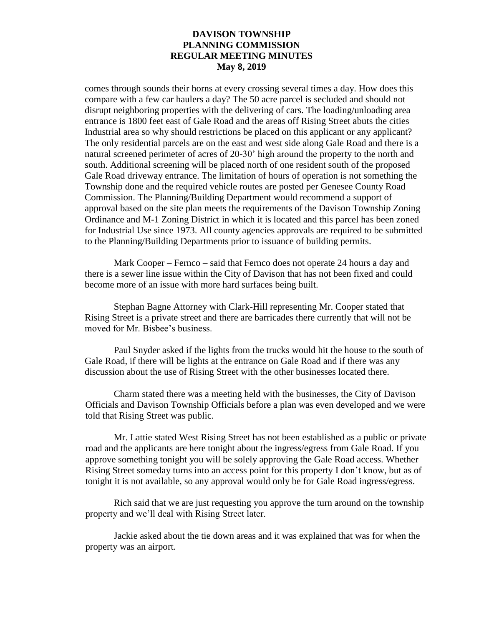comes through sounds their horns at every crossing several times a day. How does this compare with a few car haulers a day? The 50 acre parcel is secluded and should not disrupt neighboring properties with the delivering of cars. The loading/unloading area entrance is 1800 feet east of Gale Road and the areas off Rising Street abuts the cities Industrial area so why should restrictions be placed on this applicant or any applicant? The only residential parcels are on the east and west side along Gale Road and there is a natural screened perimeter of acres of 20-30' high around the property to the north and south. Additional screening will be placed north of one resident south of the proposed Gale Road driveway entrance. The limitation of hours of operation is not something the Township done and the required vehicle routes are posted per Genesee County Road Commission. The Planning/Building Department would recommend a support of approval based on the site plan meets the requirements of the Davison Township Zoning Ordinance and M-1 Zoning District in which it is located and this parcel has been zoned for Industrial Use since 1973. All county agencies approvals are required to be submitted to the Planning/Building Departments prior to issuance of building permits.

Mark Cooper – Fernco – said that Fernco does not operate 24 hours a day and there is a sewer line issue within the City of Davison that has not been fixed and could become more of an issue with more hard surfaces being built.

Stephan Bagne Attorney with Clark-Hill representing Mr. Cooper stated that Rising Street is a private street and there are barricades there currently that will not be moved for Mr. Bisbee's business.

Paul Snyder asked if the lights from the trucks would hit the house to the south of Gale Road, if there will be lights at the entrance on Gale Road and if there was any discussion about the use of Rising Street with the other businesses located there.

Charm stated there was a meeting held with the businesses, the City of Davison Officials and Davison Township Officials before a plan was even developed and we were told that Rising Street was public.

Mr. Lattie stated West Rising Street has not been established as a public or private road and the applicants are here tonight about the ingress/egress from Gale Road. If you approve something tonight you will be solely approving the Gale Road access. Whether Rising Street someday turns into an access point for this property I don't know, but as of tonight it is not available, so any approval would only be for Gale Road ingress/egress.

Rich said that we are just requesting you approve the turn around on the township property and we'll deal with Rising Street later.

Jackie asked about the tie down areas and it was explained that was for when the property was an airport.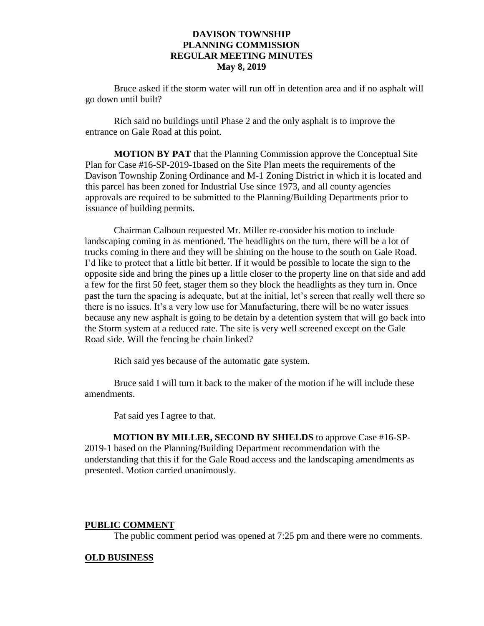Bruce asked if the storm water will run off in detention area and if no asphalt will go down until built?

Rich said no buildings until Phase 2 and the only asphalt is to improve the entrance on Gale Road at this point.

**MOTION BY PAT** that the Planning Commission approve the Conceptual Site Plan for Case #16-SP-2019-1based on the Site Plan meets the requirements of the Davison Township Zoning Ordinance and M-1 Zoning District in which it is located and this parcel has been zoned for Industrial Use since 1973, and all county agencies approvals are required to be submitted to the Planning/Building Departments prior to issuance of building permits.

Chairman Calhoun requested Mr. Miller re-consider his motion to include landscaping coming in as mentioned. The headlights on the turn, there will be a lot of trucks coming in there and they will be shining on the house to the south on Gale Road. I'd like to protect that a little bit better. If it would be possible to locate the sign to the opposite side and bring the pines up a little closer to the property line on that side and add a few for the first 50 feet, stager them so they block the headlights as they turn in. Once past the turn the spacing is adequate, but at the initial, let's screen that really well there so there is no issues. It's a very low use for Manufacturing, there will be no water issues because any new asphalt is going to be detain by a detention system that will go back into the Storm system at a reduced rate. The site is very well screened except on the Gale Road side. Will the fencing be chain linked?

Rich said yes because of the automatic gate system.

Bruce said I will turn it back to the maker of the motion if he will include these amendments.

Pat said yes I agree to that.

**MOTION BY MILLER, SECOND BY SHIELDS** to approve Case #16-SP-2019-1 based on the Planning/Building Department recommendation with the understanding that this if for the Gale Road access and the landscaping amendments as presented. Motion carried unanimously.

#### **PUBLIC COMMENT**

The public comment period was opened at 7:25 pm and there were no comments.

#### **OLD BUSINESS**